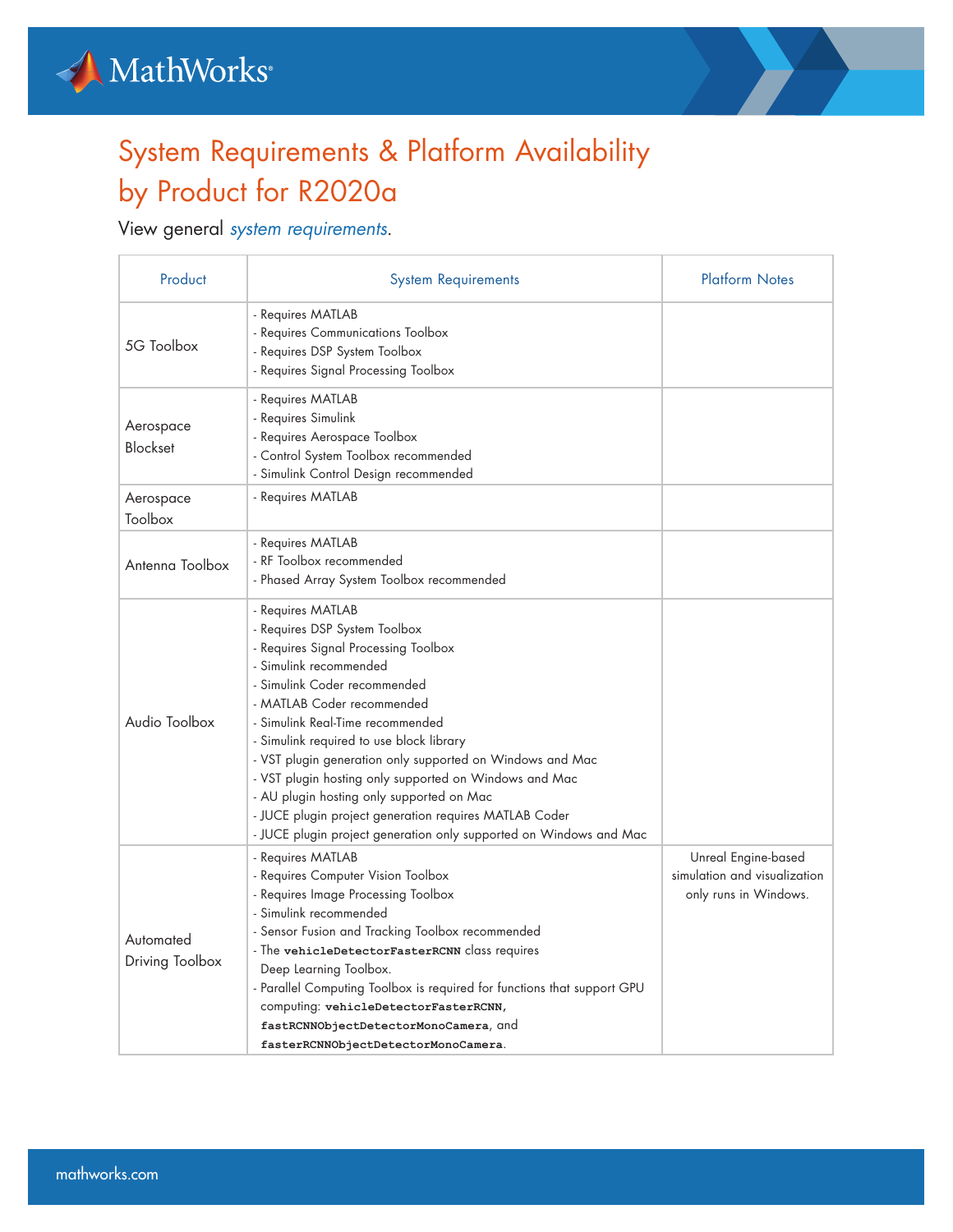



## System Requirements & Platform Availability by Product for R2020a

## View general *[system requirements](https://www.mathworks.com/support/sysreq/previous_releases.html)*.

| Product                      | <b>System Requirements</b>                                                                                                                                                                                                                                                                                                                                                                                                                                                                                                                                             | <b>Platform Notes</b>                                                        |
|------------------------------|------------------------------------------------------------------------------------------------------------------------------------------------------------------------------------------------------------------------------------------------------------------------------------------------------------------------------------------------------------------------------------------------------------------------------------------------------------------------------------------------------------------------------------------------------------------------|------------------------------------------------------------------------------|
| 5G Toolbox                   | - Requires MATLAB<br>- Requires Communications Toolbox<br>- Requires DSP System Toolbox<br>- Requires Signal Processing Toolbox                                                                                                                                                                                                                                                                                                                                                                                                                                        |                                                                              |
| Aerospace<br><b>Blockset</b> | - Requires MATLAB<br>- Requires Simulink<br>- Requires Aerospace Toolbox<br>- Control System Toolbox recommended<br>- Simulink Control Design recommended                                                                                                                                                                                                                                                                                                                                                                                                              |                                                                              |
| Aerospace<br>Toolbox         | - Requires MATLAB                                                                                                                                                                                                                                                                                                                                                                                                                                                                                                                                                      |                                                                              |
| Antenna Toolbox              | - Requires MATLAB<br>- RF Toolbox recommended<br>- Phased Array System Toolbox recommended                                                                                                                                                                                                                                                                                                                                                                                                                                                                             |                                                                              |
| Audio Toolbox                | - Requires MATLAB<br>- Requires DSP System Toolbox<br>- Requires Signal Processing Toolbox<br>- Simulink recommended<br>- Simulink Coder recommended<br>- MATLAB Coder recommended<br>- Simulink Real-Time recommended<br>- Simulink required to use block library<br>- VST plugin generation only supported on Windows and Mac<br>- VST plugin hosting only supported on Windows and Mac<br>- AU plugin hosting only supported on Mac<br>- JUCE plugin project generation requires MATLAB Coder<br>- JUCE plugin project generation only supported on Windows and Mac |                                                                              |
| Automated<br>Driving Toolbox | - Requires MATLAB<br>- Requires Computer Vision Toolbox<br>- Requires Image Processing Toolbox<br>- Simulink recommended<br>- Sensor Fusion and Tracking Toolbox recommended<br>- The vehicleDetectorFasterRCNN class requires<br>Deep Learning Toolbox.<br>- Parallel Computing Toolbox is required for functions that support GPU<br>computing: vehicleDetectorFasterRCNN,<br>fastRCNNObjectDetectorMonoCamera, and<br>fasterRCNNObjectDetectorMonoCamera.                                                                                                           | Unreal Engine-based<br>simulation and visualization<br>only runs in Windows. |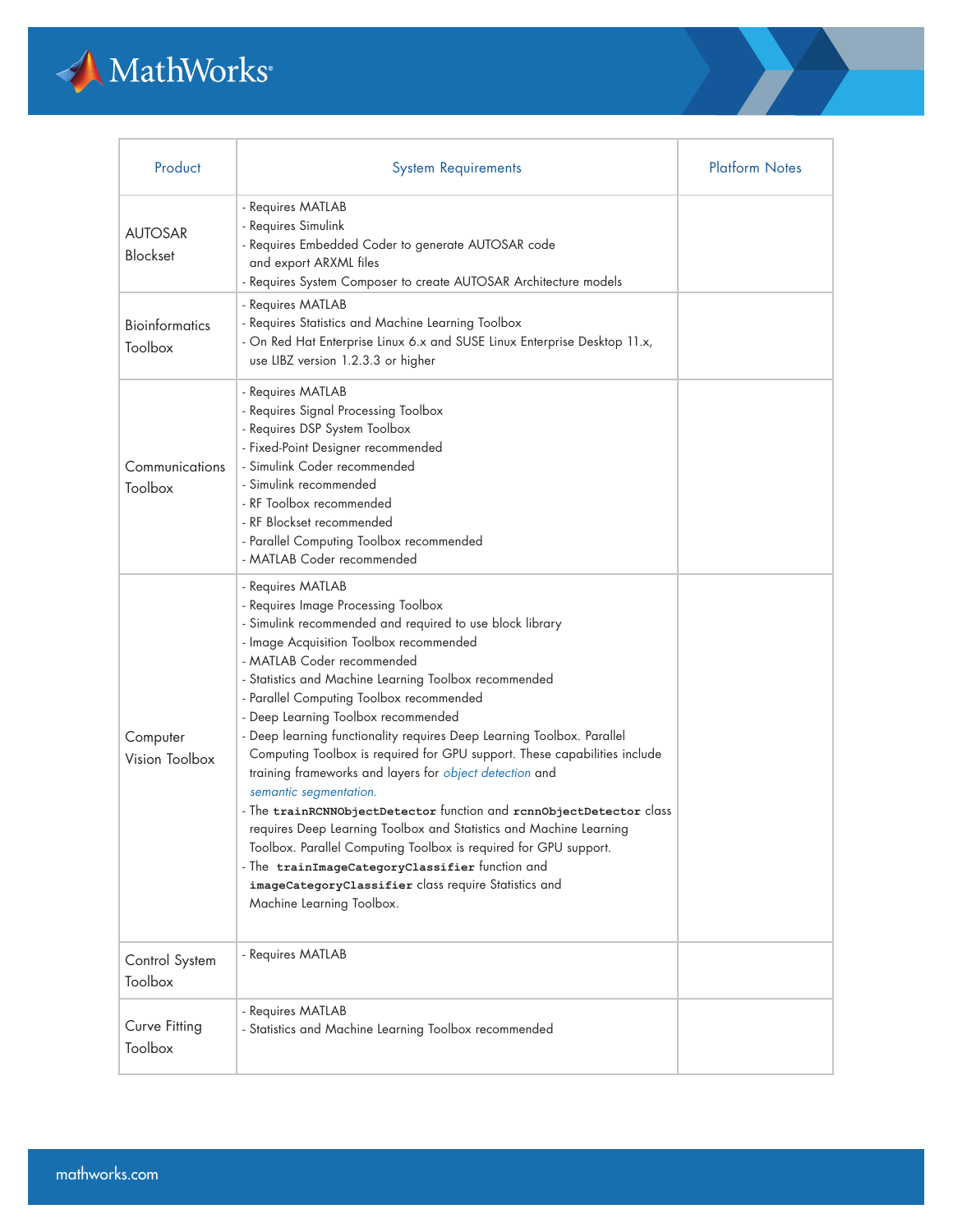

| Product                          | <b>System Requirements</b>                                                                                                                                                                                                                                                                                                                                                                                                                                                                                                                                                                                                                                                                                                                                                                                                                                                                                                                     | <b>Platform Notes</b> |
|----------------------------------|------------------------------------------------------------------------------------------------------------------------------------------------------------------------------------------------------------------------------------------------------------------------------------------------------------------------------------------------------------------------------------------------------------------------------------------------------------------------------------------------------------------------------------------------------------------------------------------------------------------------------------------------------------------------------------------------------------------------------------------------------------------------------------------------------------------------------------------------------------------------------------------------------------------------------------------------|-----------------------|
| <b>AUTOSAR</b><br>Blockset       | - Requires MATLAB<br>- Requires Simulink<br>- Requires Embedded Coder to generate AUTOSAR code<br>and export ARXML files<br>- Requires System Composer to create AUTOSAR Architecture models                                                                                                                                                                                                                                                                                                                                                                                                                                                                                                                                                                                                                                                                                                                                                   |                       |
| <b>Bioinformatics</b><br>Toolbox | - Requires MATLAB<br>- Requires Statistics and Machine Learning Toolbox<br>- On Red Hat Enterprise Linux 6.x and SUSE Linux Enterprise Desktop 11.x,<br>use LIBZ version 1.2.3.3 or higher                                                                                                                                                                                                                                                                                                                                                                                                                                                                                                                                                                                                                                                                                                                                                     |                       |
| Communications<br>Toolbox        | - Requires MATLAB<br>- Requires Signal Processing Toolbox<br>- Requires DSP System Toolbox<br>- Fixed-Point Designer recommended<br>- Simulink Coder recommended<br>- Simulink recommended<br>- RF Toolbox recommended<br>- RF Blockset recommended<br>- Parallel Computing Toolbox recommended<br>- MATLAB Coder recommended                                                                                                                                                                                                                                                                                                                                                                                                                                                                                                                                                                                                                  |                       |
| Computer<br>Vision Toolbox       | - Requires MATLAB<br>- Requires Image Processing Toolbox<br>- Simulink recommended and required to use block library<br>- Image Acquisition Toolbox recommended<br>- MATLAB Coder recommended<br>- Statistics and Machine Learning Toolbox recommended<br>- Parallel Computing Toolbox recommended<br>- Deep Learning Toolbox recommended<br>- Deep learning functionality requires Deep Learning Toolbox. Parallel<br>Computing Toolbox is required for GPU support. These capabilities include<br>training frameworks and layers for object detection and<br>semantic segmentation.<br>- The trainRCNNObjectDetector function and rcnnObjectDetector class<br>requires Deep Learning Toolbox and Statistics and Machine Learning<br>Toolbox. Parallel Computing Toolbox is required for GPU support.<br>- The trainImageCategoryClassifier function and<br>imageCategoryClassifier class require Statistics and<br>Machine Learning Toolbox. |                       |
| Control System<br>Toolbox        | - Requires MATLAB                                                                                                                                                                                                                                                                                                                                                                                                                                                                                                                                                                                                                                                                                                                                                                                                                                                                                                                              |                       |
| Curve Fitting<br>Toolbox         | - Requires MATLAB<br>- Statistics and Machine Learning Toolbox recommended                                                                                                                                                                                                                                                                                                                                                                                                                                                                                                                                                                                                                                                                                                                                                                                                                                                                     |                       |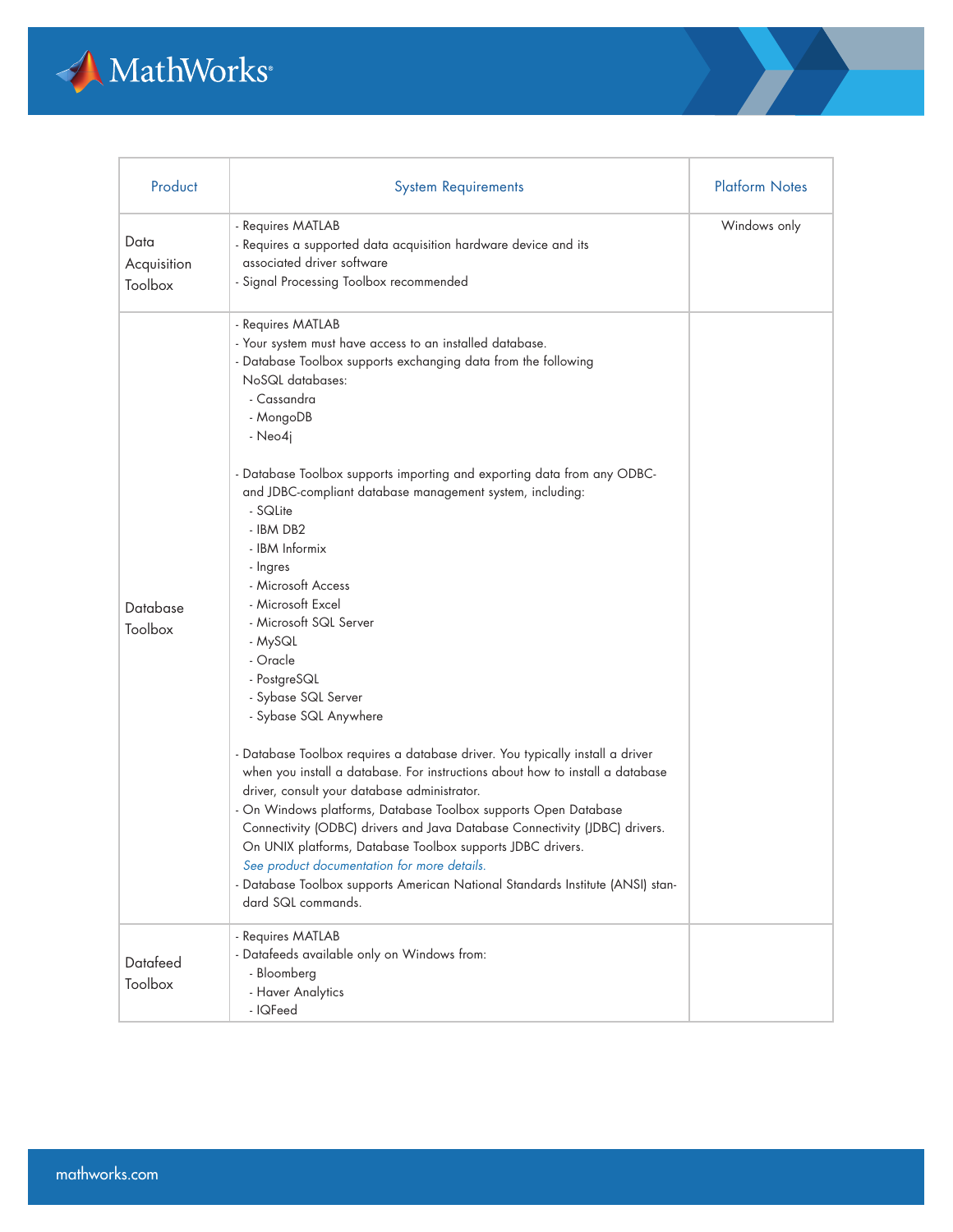

| Product                        | <b>System Requirements</b>                                                                                                                                                                                                                                                                                                                                                                                                                                                                                                                                                                                                                                                                                                                                                                                                                                                                                                                                                                                                                                                                                                                                    | <b>Platform Notes</b> |
|--------------------------------|---------------------------------------------------------------------------------------------------------------------------------------------------------------------------------------------------------------------------------------------------------------------------------------------------------------------------------------------------------------------------------------------------------------------------------------------------------------------------------------------------------------------------------------------------------------------------------------------------------------------------------------------------------------------------------------------------------------------------------------------------------------------------------------------------------------------------------------------------------------------------------------------------------------------------------------------------------------------------------------------------------------------------------------------------------------------------------------------------------------------------------------------------------------|-----------------------|
| Data<br>Acquisition<br>Toolbox | - Requires MATLAB<br>- Requires a supported data acquisition hardware device and its<br>associated driver software<br>- Signal Processing Toolbox recommended                                                                                                                                                                                                                                                                                                                                                                                                                                                                                                                                                                                                                                                                                                                                                                                                                                                                                                                                                                                                 | Windows only          |
| Database<br>Toolbox            | - Requires MATLAB<br>- Your system must have access to an installed database.<br>- Database Toolbox supports exchanging data from the following<br>NoSQL databases:<br>- Cassandra<br>- MongoDB<br>- Neo4j<br>- Database Toolbox supports importing and exporting data from any ODBC-<br>and JDBC-compliant database management system, including:<br>- SQLite<br>- IBM DB2<br>- IBM Informix<br>- Ingres<br>- Microsoft Access<br>- Microsoft Excel<br>- Microsoft SQL Server<br>- MySQL<br>- Oracle<br>- PostgreSQL<br>- Sybase SQL Server<br>- Sybase SQL Anywhere<br>- Database Toolbox requires a database driver. You typically install a driver<br>when you install a database. For instructions about how to install a database<br>driver, consult your database administrator.<br>- On Windows platforms, Database Toolbox supports Open Database<br>Connectivity (ODBC) drivers and Java Database Connectivity (JDBC) drivers.<br>On UNIX platforms, Database Toolbox supports JDBC drivers.<br>See product documentation for more details.<br>- Database Toolbox supports American National Standards Institute (ANSI) stan-<br>dard SQL commands. |                       |
| Datafeed<br>Toolbox            | - Requires MATLAB<br>- Datafeeds available only on Windows from:<br>- Bloomberg<br>- Haver Analytics<br>- IQFeed                                                                                                                                                                                                                                                                                                                                                                                                                                                                                                                                                                                                                                                                                                                                                                                                                                                                                                                                                                                                                                              |                       |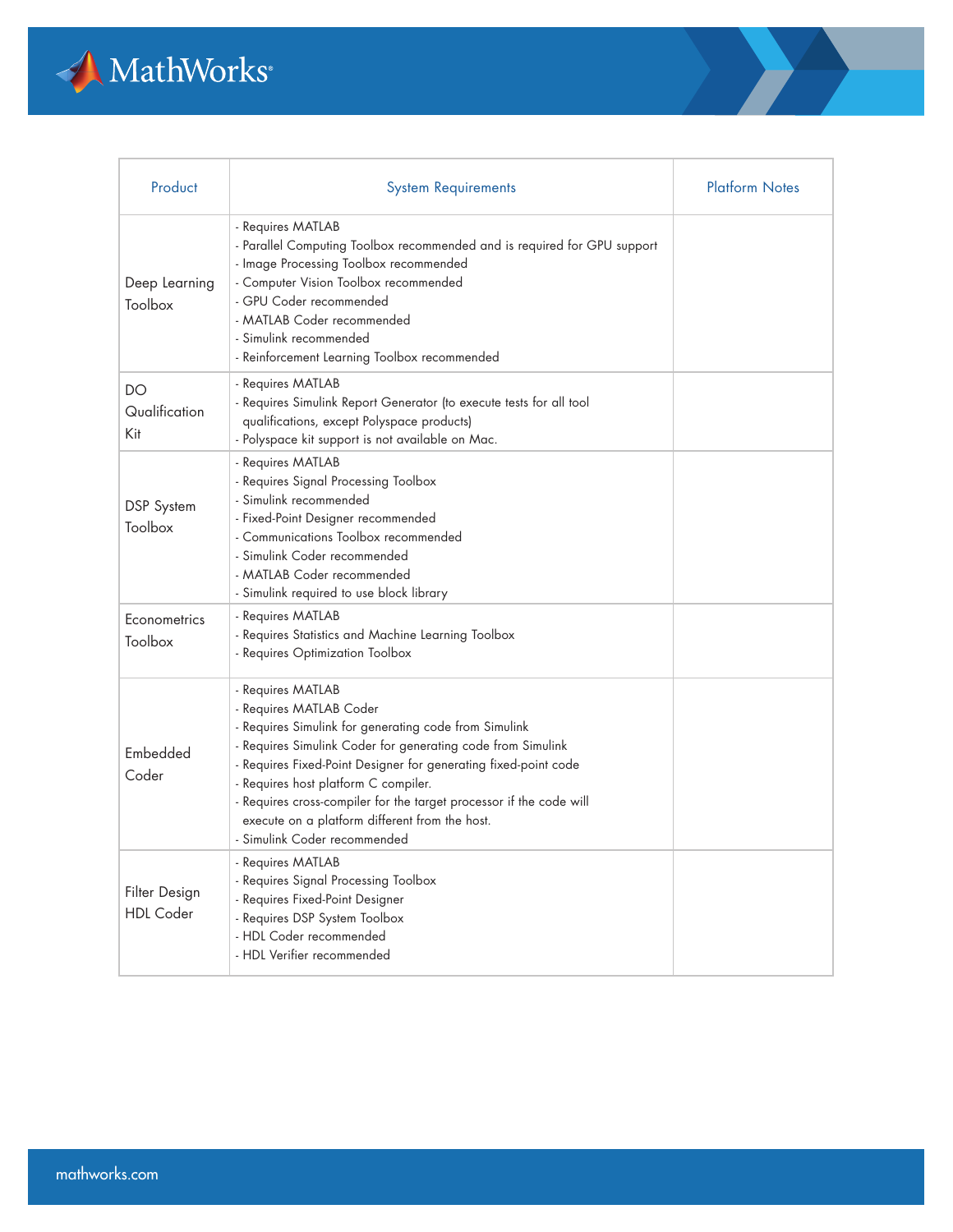

| Product                           | <b>System Requirements</b>                                                                                                                                                                                                                                                                                                                                                                                                               | <b>Platform Notes</b> |
|-----------------------------------|------------------------------------------------------------------------------------------------------------------------------------------------------------------------------------------------------------------------------------------------------------------------------------------------------------------------------------------------------------------------------------------------------------------------------------------|-----------------------|
| Deep Learning<br>Toolbox          | - Requires MATLAB<br>- Parallel Computing Toolbox recommended and is required for GPU support<br>- Image Processing Toolbox recommended<br>- Computer Vision Toolbox recommended<br>- GPU Coder recommended<br>- MATLAB Coder recommended<br>- Simulink recommended<br>- Reinforcement Learning Toolbox recommended                                                                                                                      |                       |
| DO<br>Qualification<br>Kit        | - Requires MATLAB<br>- Requires Simulink Report Generator (to execute tests for all tool<br>qualifications, except Polyspace products)<br>- Polyspace kit support is not available on Mac.                                                                                                                                                                                                                                               |                       |
| DSP System<br>Toolbox             | - Requires MATLAB<br>- Requires Signal Processing Toolbox<br>- Simulink recommended<br>- Fixed-Point Designer recommended<br>- Communications Toolbox recommended<br>- Simulink Coder recommended<br>- MATLAB Coder recommended<br>- Simulink required to use block library                                                                                                                                                              |                       |
| Econometrics<br>Toolbox           | - Requires MATLAB<br>- Requires Statistics and Machine Learning Toolbox<br>- Requires Optimization Toolbox                                                                                                                                                                                                                                                                                                                               |                       |
| Embedded<br>Coder                 | - Requires MATLAB<br>- Requires MATLAB Coder<br>- Requires Simulink for generating code from Simulink<br>- Requires Simulink Coder for generating code from Simulink<br>- Requires Fixed-Point Designer for generating fixed-point code<br>- Requires host platform C compiler.<br>- Requires cross-compiler for the target processor if the code will<br>execute on a platform different from the host.<br>- Simulink Coder recommended |                       |
| Filter Design<br><b>HDL</b> Coder | - Requires MATLAB<br>- Requires Signal Processing Toolbox<br>- Requires Fixed-Point Designer<br>- Requires DSP System Toolbox<br>- HDL Coder recommended<br>- HDL Verifier recommended                                                                                                                                                                                                                                                   |                       |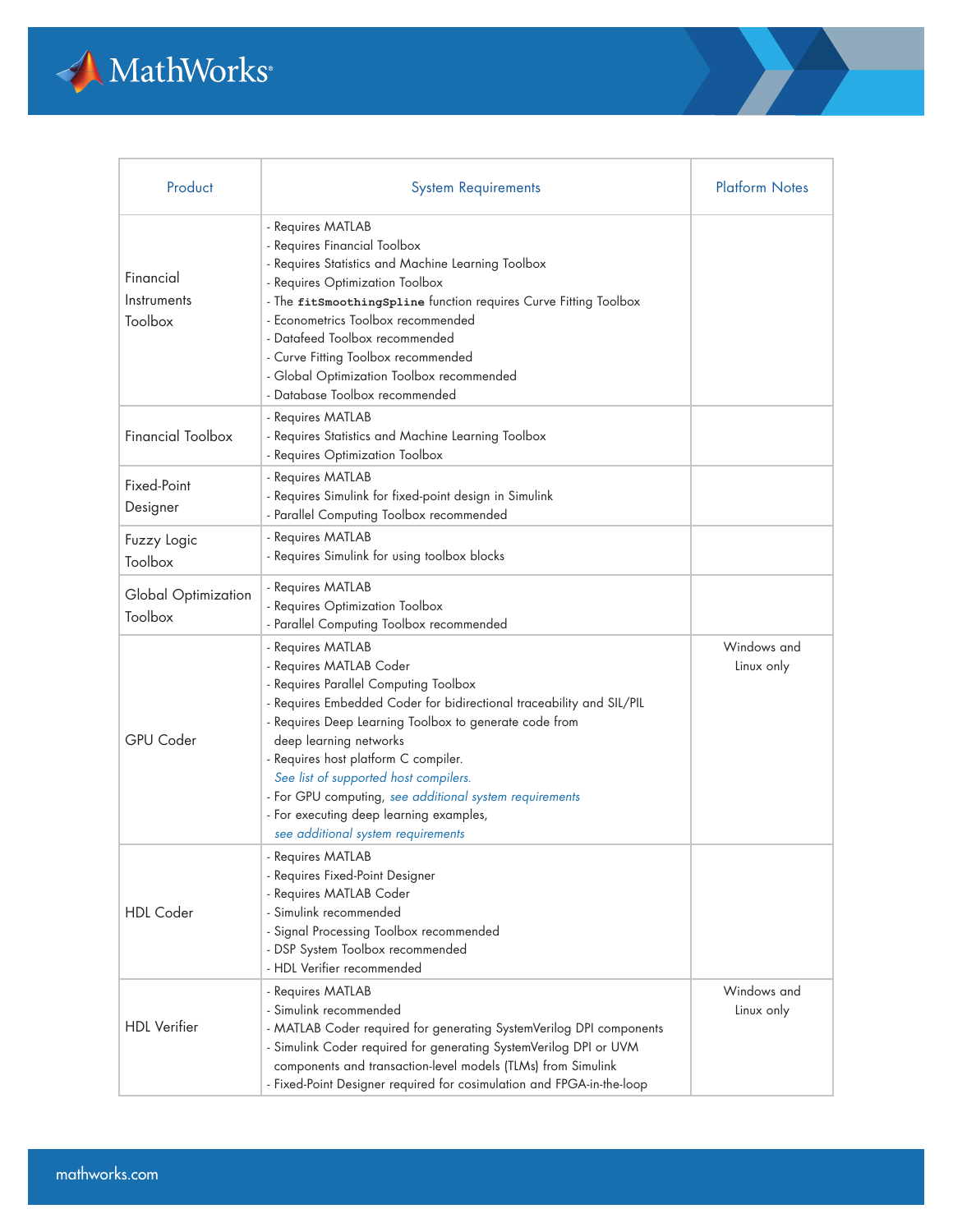

| Product                             | <b>System Requirements</b>                                                                                                                                                                                                                                                                                                                                                                                                                                                     | <b>Platform Notes</b>     |
|-------------------------------------|--------------------------------------------------------------------------------------------------------------------------------------------------------------------------------------------------------------------------------------------------------------------------------------------------------------------------------------------------------------------------------------------------------------------------------------------------------------------------------|---------------------------|
| Financial<br>Instruments<br>Toolbox | - Requires MATLAB<br>- Requires Financial Toolbox<br>- Requires Statistics and Machine Learning Toolbox<br>- Requires Optimization Toolbox<br>- The fitSmoothingSpline function requires Curve Fitting Toolbox<br>- Econometrics Toolbox recommended<br>- Datafeed Toolbox recommended<br>- Curve Fitting Toolbox recommended<br>- Global Optimization Toolbox recommended<br>- Database Toolbox recommended                                                                   |                           |
| <b>Financial Toolbox</b>            | - Requires MATLAB<br>- Requires Statistics and Machine Learning Toolbox<br>- Requires Optimization Toolbox                                                                                                                                                                                                                                                                                                                                                                     |                           |
| Fixed-Point<br>Designer             | - Requires MATLAB<br>- Requires Simulink for fixed-point design in Simulink<br>- Parallel Computing Toolbox recommended                                                                                                                                                                                                                                                                                                                                                        |                           |
| Fuzzy Logic<br>Toolbox              | - Requires MATLAB<br>- Requires Simulink for using toolbox blocks                                                                                                                                                                                                                                                                                                                                                                                                              |                           |
| Global Optimization<br>Toolbox      | - Requires MATLAB<br>- Requires Optimization Toolbox<br>- Parallel Computing Toolbox recommended                                                                                                                                                                                                                                                                                                                                                                               |                           |
| <b>GPU</b> Coder                    | - Requires MATLAB<br>- Requires MATLAB Coder<br>- Requires Parallel Computing Toolbox<br>- Requires Embedded Coder for bidirectional traceability and SIL/PIL<br>- Requires Deep Learning Toolbox to generate code from<br>deep learning networks<br>- Requires host platform C compiler.<br>See list of supported host compilers.<br>- For GPU computing, see additional system requirements<br>- For executing deep learning examples,<br>see additional system requirements | Windows and<br>Linux only |
| <b>HDL</b> Coder                    | - Requires MATLAB<br>- Requires Fixed-Point Designer<br>- Requires MATLAB Coder<br>- Simulink recommended<br>- Signal Processing Toolbox recommended<br>- DSP System Toolbox recommended<br>- HDL Verifier recommended                                                                                                                                                                                                                                                         |                           |
| <b>HDL</b> Verifier                 | - Requires MATLAB<br>- Simulink recommended<br>- MATLAB Coder required for generating SystemVerilog DPI components<br>- Simulink Coder required for generating SystemVerilog DPI or UVM<br>components and transaction-level models (TLMs) from Simulink<br>- Fixed-Point Designer required for cosimulation and FPGA-in-the-loop                                                                                                                                               | Windows and<br>Linux only |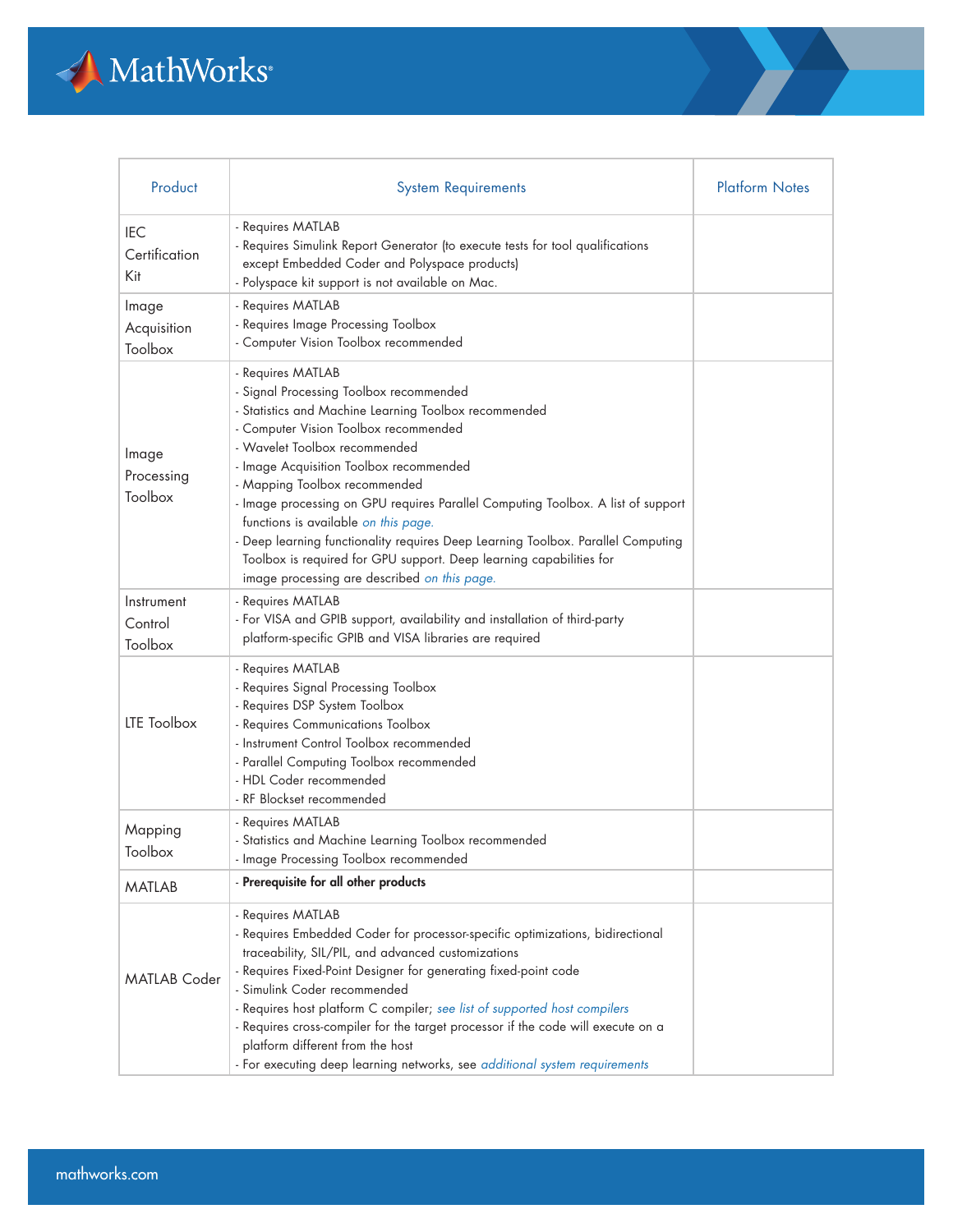

| Product                            | <b>System Requirements</b>                                                                                                                                                                                                                                                                                                                                                                                                                                                                                                                                                                                         | <b>Platform Notes</b> |
|------------------------------------|--------------------------------------------------------------------------------------------------------------------------------------------------------------------------------------------------------------------------------------------------------------------------------------------------------------------------------------------------------------------------------------------------------------------------------------------------------------------------------------------------------------------------------------------------------------------------------------------------------------------|-----------------------|
| <b>IEC</b><br>Certification<br>Kit | - Requires MATLAB<br>- Requires Simulink Report Generator (to execute tests for tool qualifications<br>except Embedded Coder and Polyspace products)<br>- Polyspace kit support is not available on Mac.                                                                                                                                                                                                                                                                                                                                                                                                           |                       |
| Image<br>Acquisition<br>Toolbox    | - Requires MATLAB<br>- Requires Image Processing Toolbox<br>- Computer Vision Toolbox recommended                                                                                                                                                                                                                                                                                                                                                                                                                                                                                                                  |                       |
| Image<br>Processing<br>Toolbox     | - Requires MATLAB<br>- Signal Processing Toolbox recommended<br>- Statistics and Machine Learning Toolbox recommended<br>- Computer Vision Toolbox recommended<br>- Wavelet Toolbox recommended<br>- Image Acquisition Toolbox recommended<br>- Mapping Toolbox recommended<br>- Image processing on GPU requires Parallel Computing Toolbox. A list of support<br>functions is available on this page.<br>- Deep learning functionality requires Deep Learning Toolbox. Parallel Computing<br>Toolbox is required for GPU support. Deep learning capabilities for<br>image processing are described on this page. |                       |
| Instrument<br>Control<br>Toolbox   | - Requires MATLAB<br>- For VISA and GPIB support, availability and installation of third-party<br>platform-specific GPIB and VISA libraries are required                                                                                                                                                                                                                                                                                                                                                                                                                                                           |                       |
| LTE Toolbox                        | - Requires MATLAB<br>- Requires Signal Processing Toolbox<br>- Requires DSP System Toolbox<br>- Requires Communications Toolbox<br>- Instrument Control Toolbox recommended<br>- Parallel Computing Toolbox recommended<br>- HDL Coder recommended<br>- RF Blockset recommended                                                                                                                                                                                                                                                                                                                                    |                       |
| Mapping<br>Toolbox                 | - Requires MATLAB<br>- Statistics and Machine Learning Toolbox recommended<br>- Image Processing Toolbox recommended                                                                                                                                                                                                                                                                                                                                                                                                                                                                                               |                       |
| <b>MATLAB</b>                      | - Prerequisite for all other products                                                                                                                                                                                                                                                                                                                                                                                                                                                                                                                                                                              |                       |
| <b>MATLAB</b> Coder                | - Requires MATLAB<br>- Requires Embedded Coder for processor-specific optimizations, bidirectional<br>traceability, SIL/PIL, and advanced customizations<br>- Requires Fixed-Point Designer for generating fixed-point code<br>- Simulink Coder recommended<br>- Requires host platform C compiler; see list of supported host compilers<br>- Requires cross-compiler for the target processor if the code will execute on a<br>platform different from the host<br>- For executing deep learning networks, see additional system requirements                                                                     |                       |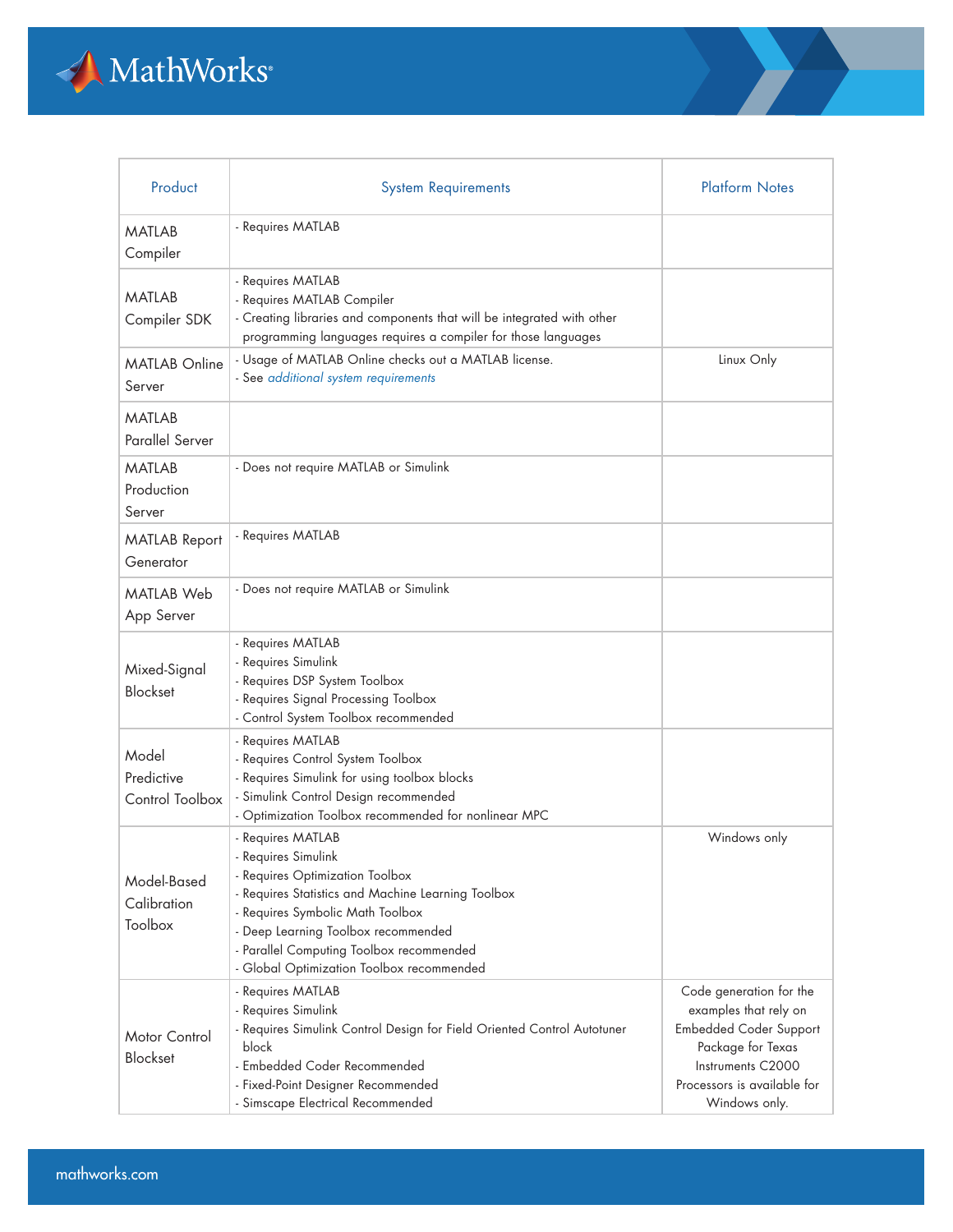

| Product                                | <b>System Requirements</b>                                                                                                                                                                                                                                                                            | <b>Platform Notes</b>                                                                                                                                                       |
|----------------------------------------|-------------------------------------------------------------------------------------------------------------------------------------------------------------------------------------------------------------------------------------------------------------------------------------------------------|-----------------------------------------------------------------------------------------------------------------------------------------------------------------------------|
| <b>MATLAB</b><br>Compiler              | - Requires MATLAB                                                                                                                                                                                                                                                                                     |                                                                                                                                                                             |
| <b>MATLAB</b><br>Compiler SDK          | - Requires MATLAB<br>- Requires MATLAB Compiler<br>- Creating libraries and components that will be integrated with other<br>programming languages requires a compiler for those languages                                                                                                            |                                                                                                                                                                             |
| <b>MATLAB Online</b><br>Server         | - Usage of MATLAB Online checks out a MATLAB license.<br>- See additional system requirements                                                                                                                                                                                                         | Linux Only                                                                                                                                                                  |
| <b>MATLAB</b><br>Parallel Server       |                                                                                                                                                                                                                                                                                                       |                                                                                                                                                                             |
| MATLAB<br>Production<br>Server         | - Does not require MATLAB or Simulink                                                                                                                                                                                                                                                                 |                                                                                                                                                                             |
| <b>MATLAB Report</b><br>Generator      | - Requires MATLAB                                                                                                                                                                                                                                                                                     |                                                                                                                                                                             |
| <b>MATLAB Web</b><br>App Server        | - Does not require MATLAB or Simulink                                                                                                                                                                                                                                                                 |                                                                                                                                                                             |
| Mixed-Signal<br><b>Blockset</b>        | - Requires MATLAB<br>- Requires Simulink<br>- Requires DSP System Toolbox<br>- Requires Signal Processing Toolbox<br>- Control System Toolbox recommended                                                                                                                                             |                                                                                                                                                                             |
| Model<br>Predictive<br>Control Toolbox | - Requires MATLAB<br>- Requires Control System Toolbox<br>- Requires Simulink for using toolbox blocks<br>- Simulink Control Design recommended<br>- Optimization Toolbox recommended for nonlinear MPC                                                                                               |                                                                                                                                                                             |
| Model-Based<br>Calibration<br>Toolbox  | - Requires MATLAB<br>- Requires Simulink<br>- Requires Optimization Toolbox<br>- Requires Statistics and Machine Learning Toolbox<br>- Requires Symbolic Math Toolbox<br>- Deep Learning Toolbox recommended<br>- Parallel Computing Toolbox recommended<br>- Global Optimization Toolbox recommended | Windows only                                                                                                                                                                |
| Motor Control<br><b>Blockset</b>       | - Requires MATLAB<br>- Requires Simulink<br>- Requires Simulink Control Design for Field Oriented Control Autotuner<br>block<br>- Embedded Coder Recommended<br>- Fixed-Point Designer Recommended<br>- Simscape Electrical Recommended                                                               | Code generation for the<br>examples that rely on<br><b>Embedded Coder Support</b><br>Package for Texas<br>Instruments C2000<br>Processors is available for<br>Windows only. |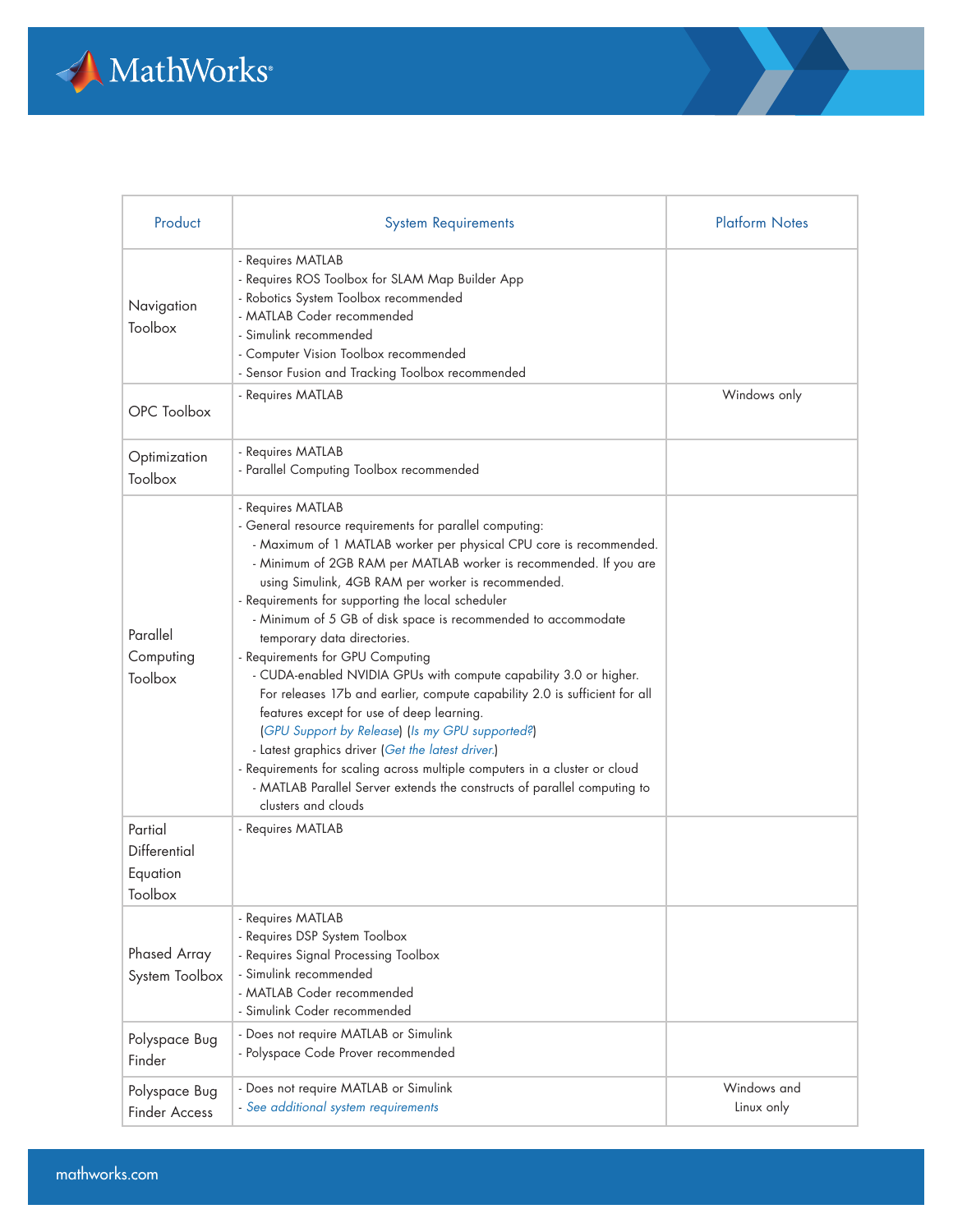

| Product                                        | <b>System Requirements</b>                                                                                                                                                                                                                                                                                                                                                                                                                                                                                                                                                                                                                                                                                                                                                                                                                                                                                                                                      | <b>Platform Notes</b>     |
|------------------------------------------------|-----------------------------------------------------------------------------------------------------------------------------------------------------------------------------------------------------------------------------------------------------------------------------------------------------------------------------------------------------------------------------------------------------------------------------------------------------------------------------------------------------------------------------------------------------------------------------------------------------------------------------------------------------------------------------------------------------------------------------------------------------------------------------------------------------------------------------------------------------------------------------------------------------------------------------------------------------------------|---------------------------|
| Navigation<br>Toolbox                          | - Requires MATLAB<br>- Requires ROS Toolbox for SLAM Map Builder App<br>- Robotics System Toolbox recommended<br>- MATLAB Coder recommended<br>- Simulink recommended<br>- Computer Vision Toolbox recommended<br>- Sensor Fusion and Tracking Toolbox recommended                                                                                                                                                                                                                                                                                                                                                                                                                                                                                                                                                                                                                                                                                              |                           |
| OPC Toolbox                                    | - Requires MATLAB                                                                                                                                                                                                                                                                                                                                                                                                                                                                                                                                                                                                                                                                                                                                                                                                                                                                                                                                               | Windows only              |
| Optimization<br>Toolbox                        | - Requires MATLAB<br>- Parallel Computing Toolbox recommended                                                                                                                                                                                                                                                                                                                                                                                                                                                                                                                                                                                                                                                                                                                                                                                                                                                                                                   |                           |
| Parallel<br>Computing<br>Toolbox               | - Requires MATLAB<br>- General resource requirements for parallel computing:<br>- Maximum of 1 MATLAB worker per physical CPU core is recommended.<br>- Minimum of 2GB RAM per MATLAB worker is recommended. If you are<br>using Simulink, 4GB RAM per worker is recommended.<br>- Requirements for supporting the local scheduler<br>- Minimum of 5 GB of disk space is recommended to accommodate<br>temporary data directories.<br>- Requirements for GPU Computing<br>- CUDA-enabled NVIDIA GPUs with compute capability 3.0 or higher.<br>For releases 17b and earlier, compute capability 2.0 is sufficient for all<br>features except for use of deep learning.<br>(GPU Support by Release) (Is my GPU supported?)<br>- Latest graphics driver (Get the latest driver.)<br>- Requirements for scaling across multiple computers in a cluster or cloud<br>- MATLAB Parallel Server extends the constructs of parallel computing to<br>clusters and clouds |                           |
| Partial<br>Differential<br>Equation<br>Toolbox | - Requires MATLAB                                                                                                                                                                                                                                                                                                                                                                                                                                                                                                                                                                                                                                                                                                                                                                                                                                                                                                                                               |                           |
| Phased Array<br>System Toolbox                 | - Requires MATLAB<br>- Requires DSP System Toolbox<br>- Requires Signal Processing Toolbox<br>- Simulink recommended<br>- MATLAB Coder recommended<br>- Simulink Coder recommended                                                                                                                                                                                                                                                                                                                                                                                                                                                                                                                                                                                                                                                                                                                                                                              |                           |
| Polyspace Bug<br>Finder                        | - Does not require MATLAB or Simulink<br>- Polyspace Code Prover recommended                                                                                                                                                                                                                                                                                                                                                                                                                                                                                                                                                                                                                                                                                                                                                                                                                                                                                    |                           |
| Polyspace Bug<br><b>Finder Access</b>          | - Does not require MATLAB or Simulink<br>- See additional system requirements                                                                                                                                                                                                                                                                                                                                                                                                                                                                                                                                                                                                                                                                                                                                                                                                                                                                                   | Windows and<br>Linux only |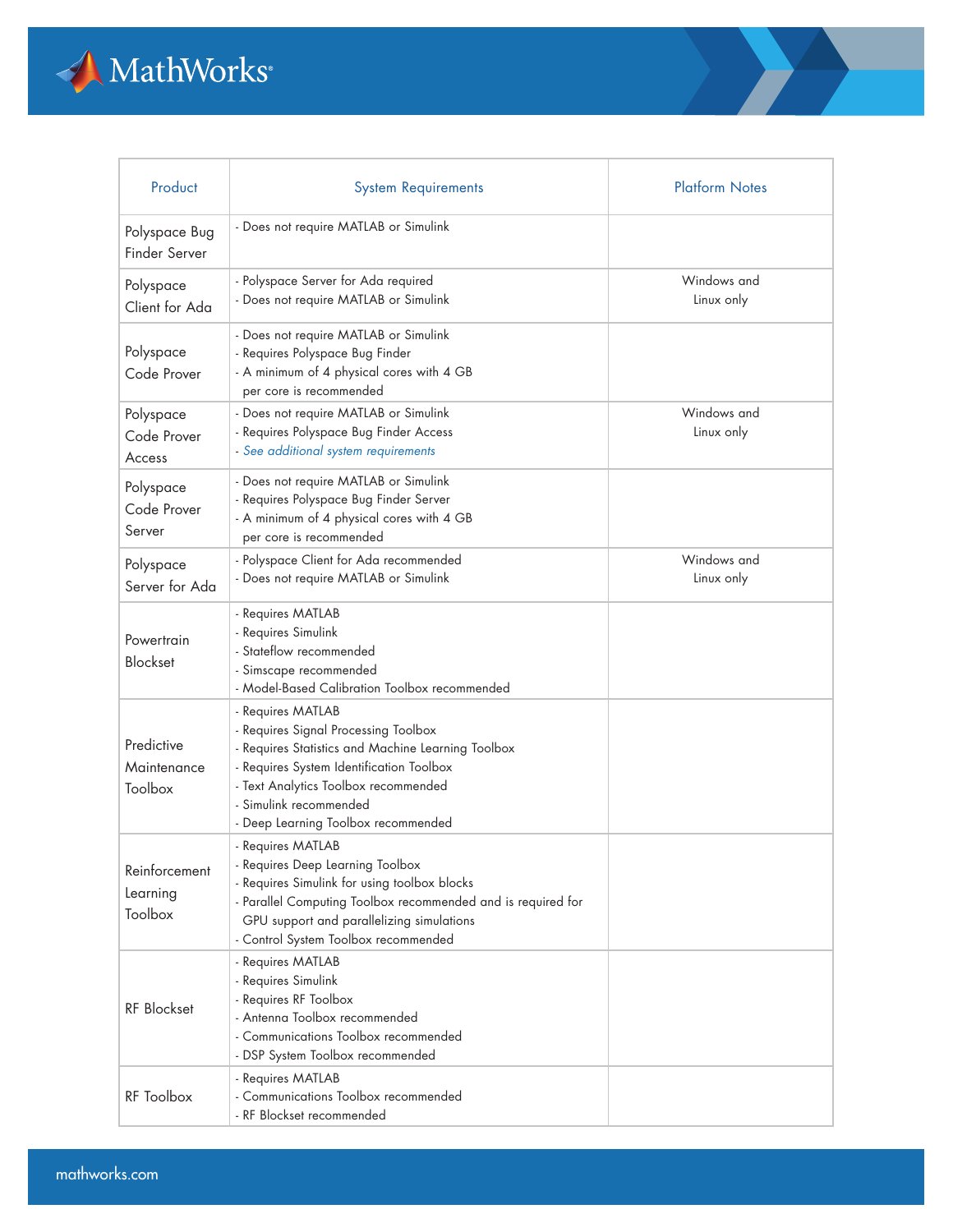

| Product                              | <b>System Requirements</b>                                                                                                                                                                                                                                           | <b>Platform Notes</b>     |
|--------------------------------------|----------------------------------------------------------------------------------------------------------------------------------------------------------------------------------------------------------------------------------------------------------------------|---------------------------|
| Polyspace Bug<br>Finder Server       | - Does not require MATLAB or Simulink                                                                                                                                                                                                                                |                           |
| Polyspace<br>Client for Ada          | - Polyspace Server for Ada required<br>- Does not require MATLAB or Simulink                                                                                                                                                                                         | Windows and<br>Linux only |
| Polyspace<br>Code Prover             | - Does not require MATLAB or Simulink<br>- Requires Polyspace Bug Finder<br>- A minimum of 4 physical cores with 4 GB<br>per core is recommended                                                                                                                     |                           |
| Polyspace<br>Code Prover<br>Access   | - Does not require MATLAB or Simulink<br>- Requires Polyspace Bug Finder Access<br>- See additional system requirements                                                                                                                                              | Windows and<br>Linux only |
| Polyspace<br>Code Prover<br>Server   | - Does not require MATLAB or Simulink<br>- Requires Polyspace Bug Finder Server<br>- A minimum of 4 physical cores with 4 GB<br>per core is recommended                                                                                                              |                           |
| Polyspace<br>Server for Ada          | - Polyspace Client for Ada recommended<br>- Does not require MATLAB or Simulink                                                                                                                                                                                      | Windows and<br>Linux only |
| Powertrain<br><b>Blockset</b>        | - Requires MATLAB<br>- Requires Simulink<br>- Stateflow recommended<br>- Simscape recommended<br>- Model-Based Calibration Toolbox recommended                                                                                                                       |                           |
| Predictive<br>Maintenance<br>Toolbox | - Requires MATLAB<br>- Requires Signal Processing Toolbox<br>- Requires Statistics and Machine Learning Toolbox<br>- Requires System Identification Toolbox<br>- Text Analytics Toolbox recommended<br>- Simulink recommended<br>- Deep Learning Toolbox recommended |                           |
| Reinforcement<br>Learning<br>Toolbox | - Requires MATLAB<br>- Requires Deep Learning Toolbox<br>- Requires Simulink for using toolbox blocks<br>- Parallel Computing Toolbox recommended and is required for<br>GPU support and parallelizing simulations<br>- Control System Toolbox recommended           |                           |
| <b>RF</b> Blockset                   | - Requires MATLAB<br>- Requires Simulink<br>- Requires RF Toolbox<br>- Antenna Toolbox recommended<br>- Communications Toolbox recommended<br>- DSP System Toolbox recommended                                                                                       |                           |
| RF Toolbox                           | - Requires MATLAB<br>- Communications Toolbox recommended<br>- RF Blockset recommended                                                                                                                                                                               |                           |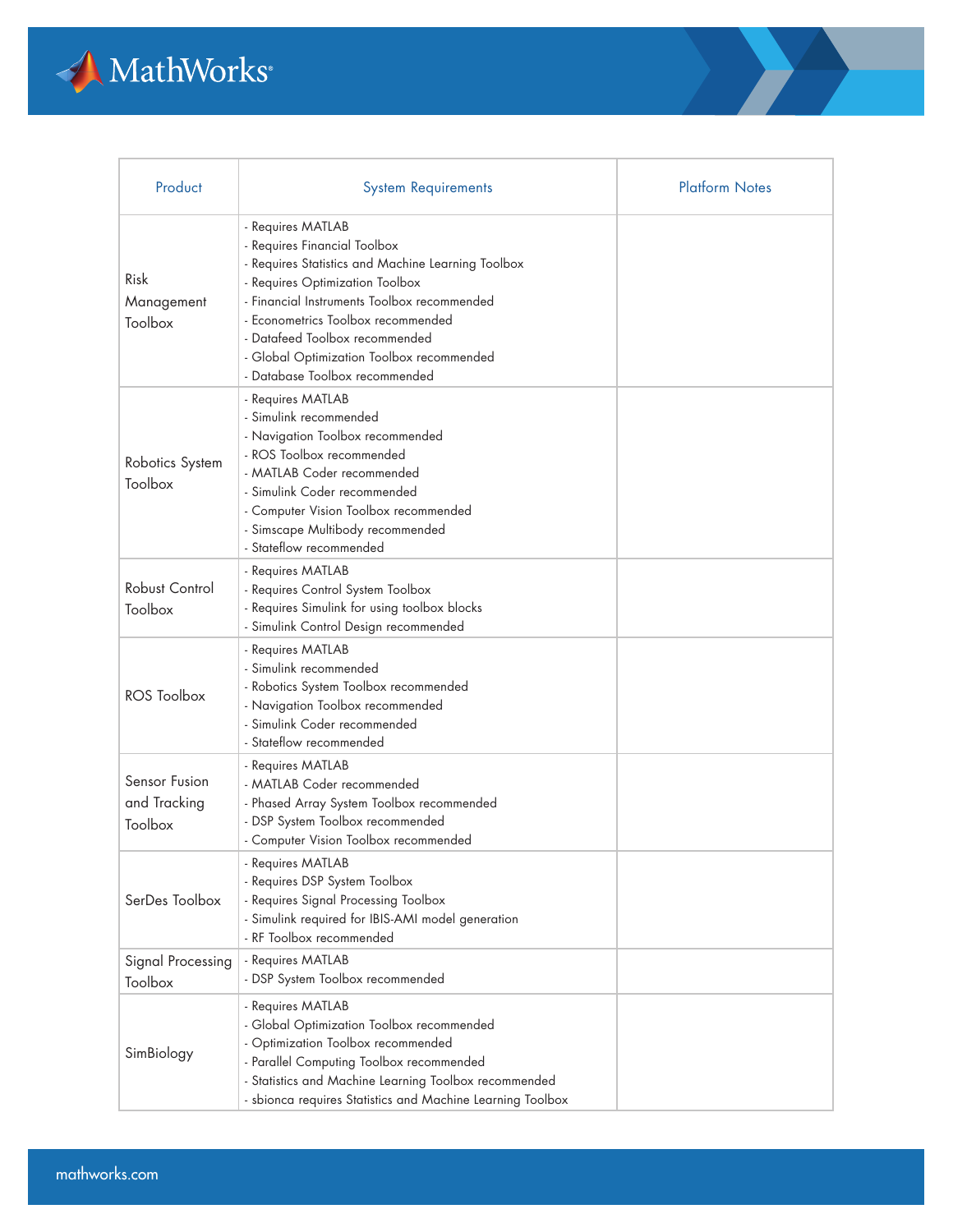

| Product                                  | <b>System Requirements</b>                                                                                                                                                                                                                                                                                                                       | <b>Platform Notes</b> |
|------------------------------------------|--------------------------------------------------------------------------------------------------------------------------------------------------------------------------------------------------------------------------------------------------------------------------------------------------------------------------------------------------|-----------------------|
| Risk<br>Management<br>Toolbox            | - Requires MATLAB<br>- Requires Financial Toolbox<br>- Requires Statistics and Machine Learning Toolbox<br>- Requires Optimization Toolbox<br>- Financial Instruments Toolbox recommended<br>- Econometrics Toolbox recommended<br>- Datafeed Toolbox recommended<br>- Global Optimization Toolbox recommended<br>- Database Toolbox recommended |                       |
| Robotics System<br>Toolbox               | - Requires MATLAB<br>- Simulink recommended<br>- Navigation Toolbox recommended<br>- ROS Toolbox recommended<br>- MATLAB Coder recommended<br>- Simulink Coder recommended<br>- Computer Vision Toolbox recommended<br>- Simscape Multibody recommended<br>- Stateflow recommended                                                               |                       |
| <b>Robust Control</b><br>Toolbox         | - Requires MATLAB<br>- Requires Control System Toolbox<br>- Requires Simulink for using toolbox blocks<br>- Simulink Control Design recommended                                                                                                                                                                                                  |                       |
| ROS Toolbox                              | - Requires MATLAB<br>- Simulink recommended<br>- Robotics System Toolbox recommended<br>- Navigation Toolbox recommended<br>- Simulink Coder recommended<br>- Stateflow recommended                                                                                                                                                              |                       |
| Sensor Fusion<br>and Tracking<br>Toolbox | - Requires MATLAB<br>- MATLAB Coder recommended<br>- Phased Array System Toolbox recommended<br>- DSP System Toolbox recommended<br>- Computer Vision Toolbox recommended                                                                                                                                                                        |                       |
| SerDes Toolbox                           | - Requires MATLAB<br>- Requires DSP System Toolbox<br>- Requires Signal Processing Toolbox<br>- Simulink required for IBIS-AMI model generation<br>- RF Toolbox recommended                                                                                                                                                                      |                       |
| Signal Processing<br>Toolbox             | - Requires MATLAB<br>- DSP System Toolbox recommended                                                                                                                                                                                                                                                                                            |                       |
| SimBiology                               | - Requires MATLAB<br>- Global Optimization Toolbox recommended<br>- Optimization Toolbox recommended<br>- Parallel Computing Toolbox recommended<br>- Statistics and Machine Learning Toolbox recommended<br>- sbionca requires Statistics and Machine Learning Toolbox                                                                          |                       |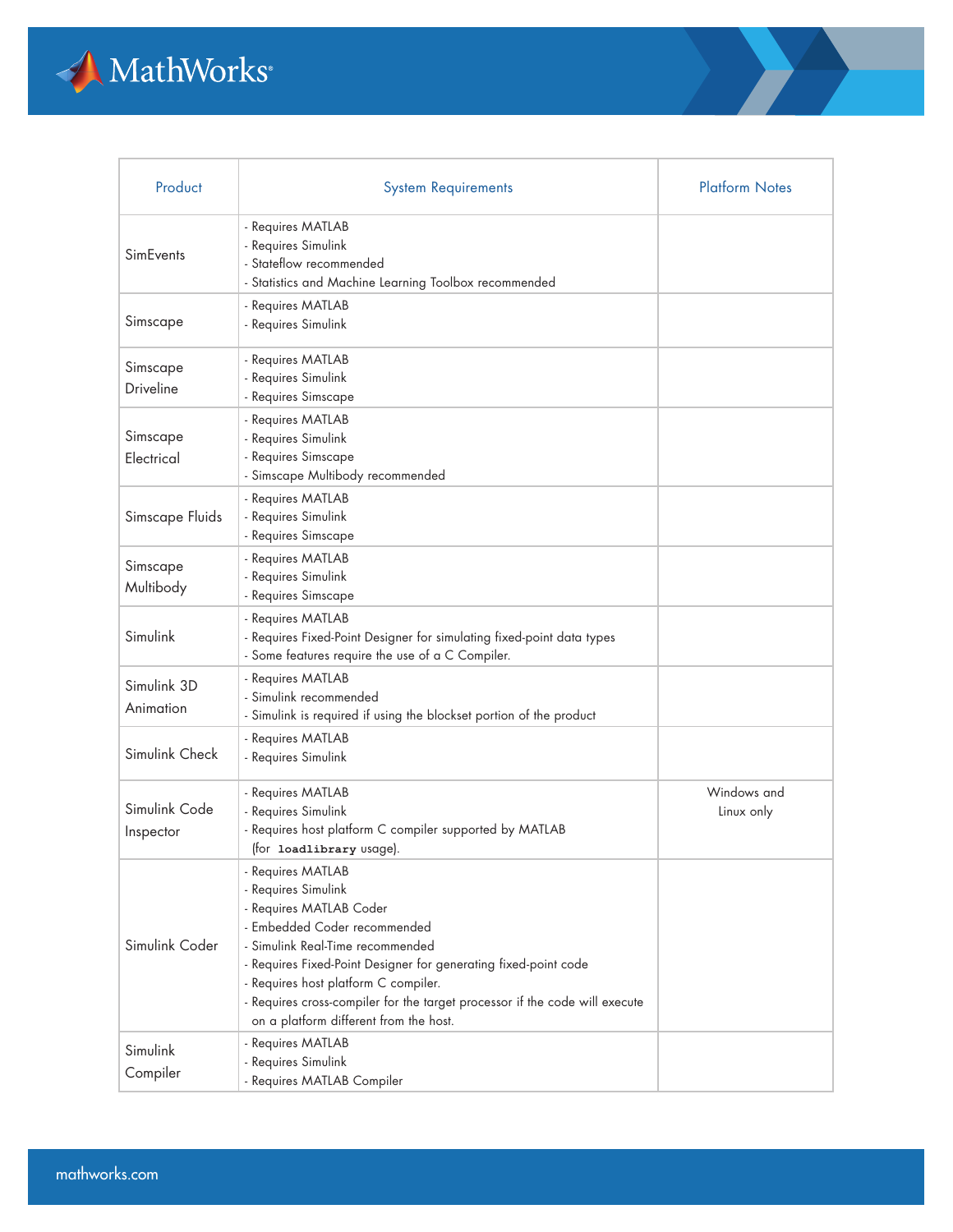

| Product                    | <b>System Requirements</b>                                                                                                                                                                                                                                                                                                                                                  | <b>Platform Notes</b>     |
|----------------------------|-----------------------------------------------------------------------------------------------------------------------------------------------------------------------------------------------------------------------------------------------------------------------------------------------------------------------------------------------------------------------------|---------------------------|
| <b>SimFvents</b>           | - Requires MATLAB<br>- Requires Simulink<br>- Stateflow recommended<br>- Statistics and Machine Learning Toolbox recommended                                                                                                                                                                                                                                                |                           |
| Simscape                   | - Requires MATLAB<br>- Requires Simulink                                                                                                                                                                                                                                                                                                                                    |                           |
| Simscape<br>Driveline      | - Requires MATLAB<br>- Requires Simulink<br>- Requires Simscape                                                                                                                                                                                                                                                                                                             |                           |
| Simscape<br>Electrical     | - Requires MATLAB<br>- Requires Simulink<br>- Requires Simscape<br>- Simscape Multibody recommended                                                                                                                                                                                                                                                                         |                           |
| Simscape Fluids            | - Requires MATLAB<br>- Requires Simulink<br>- Requires Simscape                                                                                                                                                                                                                                                                                                             |                           |
| Simscape<br>Multibody      | - Requires MATLAB<br>- Requires Simulink<br>- Requires Simscape                                                                                                                                                                                                                                                                                                             |                           |
| Simulink                   | - Requires MATLAB<br>- Requires Fixed-Point Designer for simulating fixed-point data types<br>- Some features require the use of a C Compiler.                                                                                                                                                                                                                              |                           |
| Simulink 3D<br>Animation   | - Requires MATLAB<br>- Simulink recommended<br>- Simulink is required if using the blockset portion of the product                                                                                                                                                                                                                                                          |                           |
| Simulink Check             | - Requires MATLAB<br>- Requires Simulink                                                                                                                                                                                                                                                                                                                                    |                           |
| Simulink Code<br>Inspector | - Requires MATLAB<br>- Requires Simulink<br>- Requires host platform C compiler supported by MATLAB<br>(for loadlibrary usage).                                                                                                                                                                                                                                             | Windows and<br>Linux only |
| Simulink Coder             | - Requires MATLAB<br>- Requires Simulink<br>- Requires MATLAB Coder<br>- Embedded Coder recommended<br>- Simulink Real-Time recommended<br>- Requires Fixed-Point Designer for generating fixed-point code<br>- Requires host platform C compiler.<br>- Requires cross-compiler for the target processor if the code will execute<br>on a platform different from the host. |                           |
| Simulink<br>Compiler       | - Requires MATLAB<br>- Requires Simulink<br>- Requires MATLAB Compiler                                                                                                                                                                                                                                                                                                      |                           |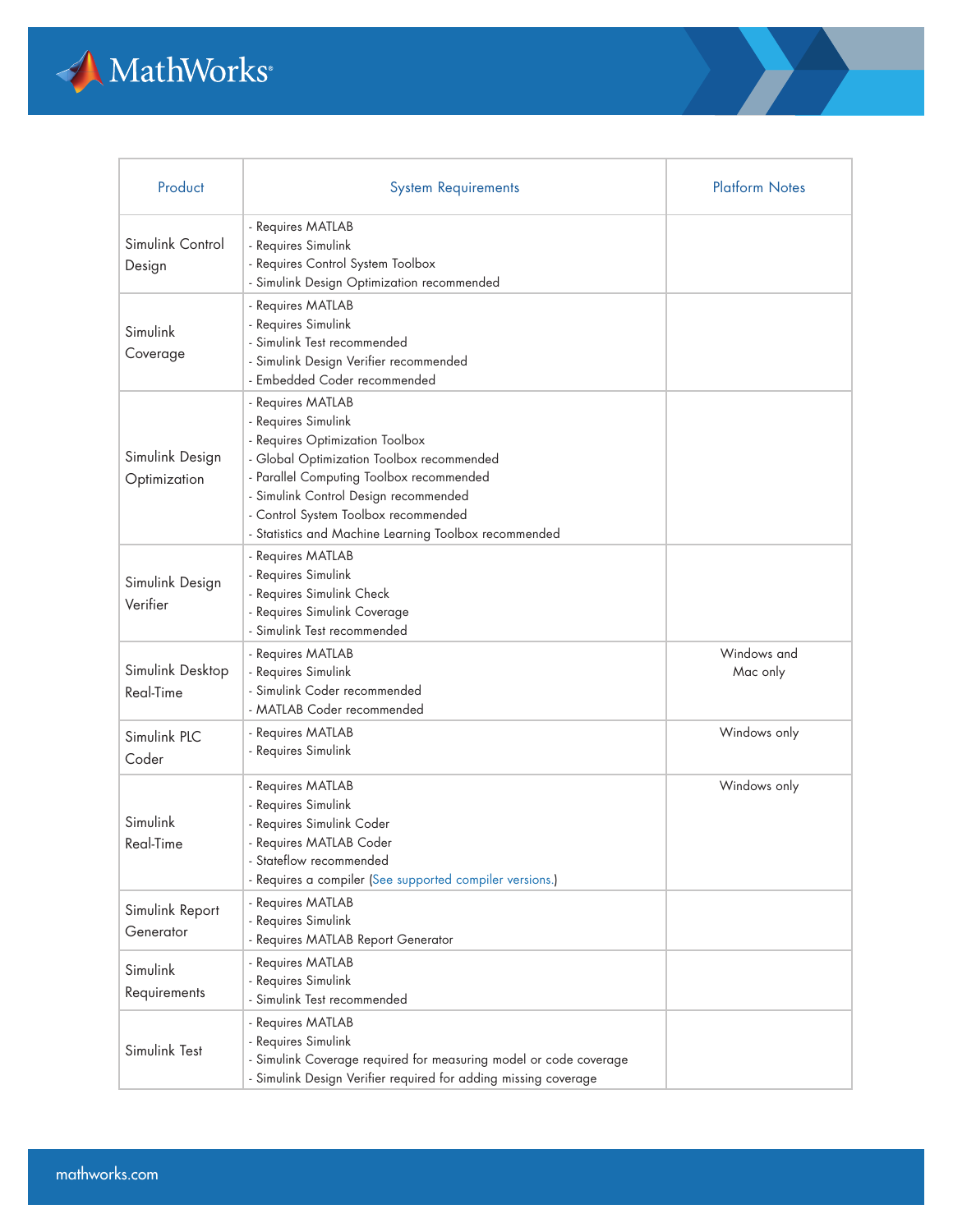

| Product                         | <b>System Requirements</b>                                                                                                                                                                                                                                                                                     | <b>Platform Notes</b>   |
|---------------------------------|----------------------------------------------------------------------------------------------------------------------------------------------------------------------------------------------------------------------------------------------------------------------------------------------------------------|-------------------------|
| Simulink Control<br>Design      | - Requires MATLAB<br>- Requires Simulink<br>- Requires Control System Toolbox<br>- Simulink Design Optimization recommended                                                                                                                                                                                    |                         |
| Simulink<br>Coverage            | - Requires MATLAB<br>- Requires Simulink<br>- Simulink Test recommended<br>- Simulink Design Verifier recommended<br>- Embedded Coder recommended                                                                                                                                                              |                         |
| Simulink Design<br>Optimization | - Requires MATLAB<br>- Requires Simulink<br>- Requires Optimization Toolbox<br>- Global Optimization Toolbox recommended<br>- Parallel Computing Toolbox recommended<br>- Simulink Control Design recommended<br>- Control System Toolbox recommended<br>- Statistics and Machine Learning Toolbox recommended |                         |
| Simulink Design<br>Verifier     | - Requires MATLAB<br>- Requires Simulink<br>- Requires Simulink Check<br>- Requires Simulink Coverage<br>- Simulink Test recommended                                                                                                                                                                           |                         |
| Simulink Desktop<br>Real-Time   | - Requires MATLAB<br>- Requires Simulink<br>- Simulink Coder recommended<br>- MATLAB Coder recommended                                                                                                                                                                                                         | Windows and<br>Mac only |
| Simulink PLC<br>Coder           | - Requires MATLAB<br>- Requires Simulink                                                                                                                                                                                                                                                                       | Windows only            |
| Simulink<br>Real-Time           | - Requires MATLAB<br>- Requires Simulink<br>- Requires Simulink Coder<br>- Requires MATLAB Coder<br>- Stateflow recommended<br>- Requires a compiler (See supported compiler versions.)                                                                                                                        | Windows only            |
| Simulink Report<br>Generator    | - Requires MATLAB<br>- Requires Simulink<br>- Requires MATLAB Report Generator                                                                                                                                                                                                                                 |                         |
| Simulink<br>Requirements        | - Requires MATLAB<br>- Requires Simulink<br>- Simulink Test recommended                                                                                                                                                                                                                                        |                         |
| Simulink Test                   | - Requires MATLAB<br>- Requires Simulink<br>- Simulink Coverage required for measuring model or code coverage<br>- Simulink Design Verifier required for adding missing coverage                                                                                                                               |                         |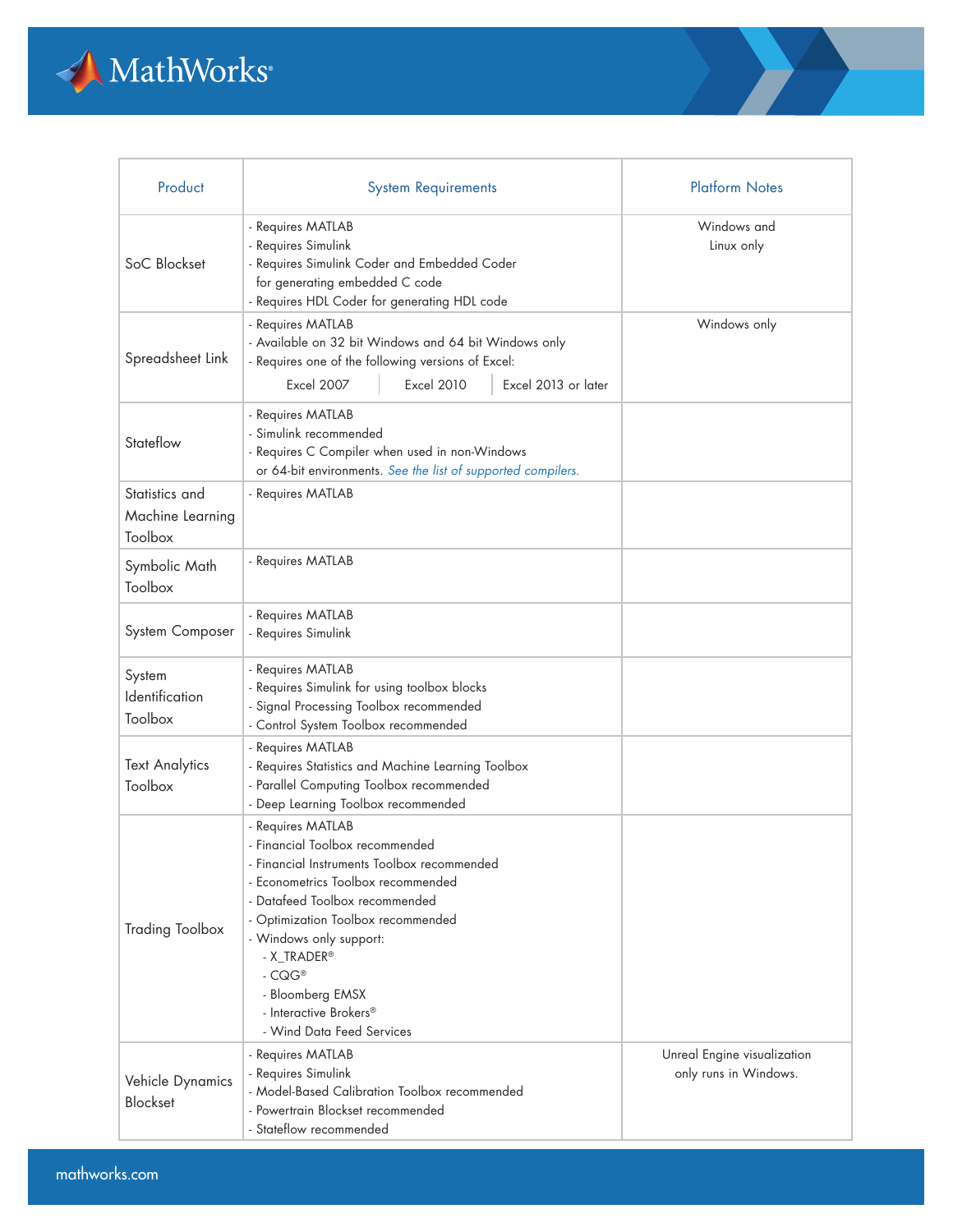

| Product                                       | <b>System Requirements</b>                                                                                                                                                                                                                                                                                                                         | <b>Platform Notes</b>                                |
|-----------------------------------------------|----------------------------------------------------------------------------------------------------------------------------------------------------------------------------------------------------------------------------------------------------------------------------------------------------------------------------------------------------|------------------------------------------------------|
| SoC Blockset                                  | - Requires MATLAB<br>- Requires Simulink<br>- Requires Simulink Coder and Embedded Coder<br>for generating embedded C code<br>- Requires HDL Coder for generating HDL code                                                                                                                                                                         | Windows and<br>Linux only                            |
| Spreadsheet Link                              | - Requires MATLAB<br>- Available on 32 bit Windows and 64 bit Windows only<br>- Requires one of the following versions of Excel:<br><b>Excel 2010</b><br>Excel 2013 or later<br><b>Excel 2007</b>                                                                                                                                                  | Windows only                                         |
| Stateflow                                     | - Requires MATLAB<br>- Simulink recommended<br>- Requires C Compiler when used in non-Windows<br>or 64-bit environments. See the list of supported compilers.                                                                                                                                                                                      |                                                      |
| Statistics and<br>Machine Learning<br>Toolbox | - Requires MATLAB                                                                                                                                                                                                                                                                                                                                  |                                                      |
| Symbolic Math<br>Toolbox                      | - Requires MATLAB                                                                                                                                                                                                                                                                                                                                  |                                                      |
| System Composer                               | - Requires MATLAB<br>- Requires Simulink                                                                                                                                                                                                                                                                                                           |                                                      |
| System<br>Identification<br>Toolbox           | - Requires MATLAB<br>- Requires Simulink for using toolbox blocks<br>- Signal Processing Toolbox recommended<br>- Control System Toolbox recommended                                                                                                                                                                                               |                                                      |
| <b>Text Analytics</b><br>Toolbox              | - Requires MATLAB<br>- Requires Statistics and Machine Learning Toolbox<br>- Parallel Computing Toolbox recommended<br>- Deep Learning Toolbox recommended                                                                                                                                                                                         |                                                      |
| <b>Trading Toolbox</b>                        | - Requires MATLAB<br>- Financial Toolbox recommended<br>- Financial Instruments Toolbox recommended<br>- Econometrics Toolbox recommended<br>- Datafeed Toolbox recommended<br>- Optimization Toolbox recommended<br>- Windows only support:<br>- X_TRADER®<br>$-CQG^*$<br>- Bloomberg EMSX<br>- Interactive Brokers®<br>- Wind Data Feed Services |                                                      |
| Vehicle Dynamics<br>Blockset                  | - Requires MATLAB<br>- Requires Simulink<br>- Model-Based Calibration Toolbox recommended<br>- Powertrain Blockset recommended<br>- Stateflow recommended                                                                                                                                                                                          | Unreal Engine visualization<br>only runs in Windows. |